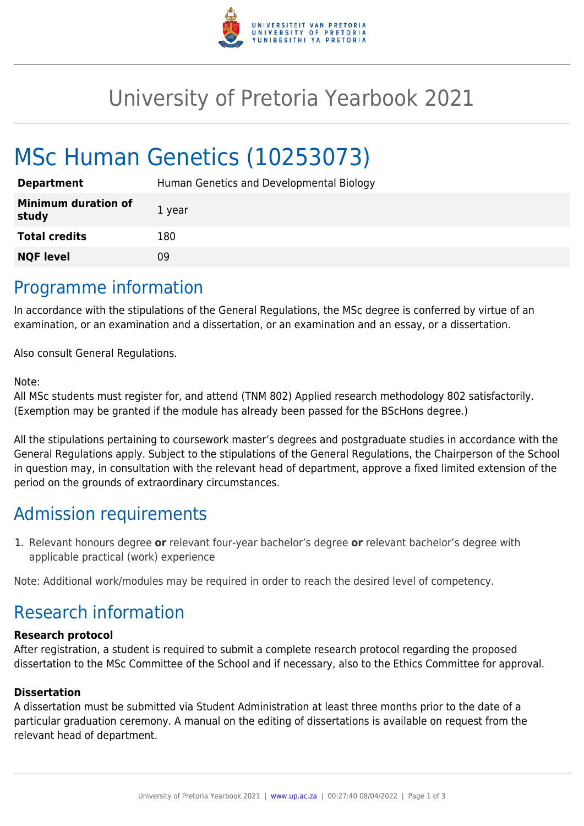

## University of Pretoria Yearbook 2021

# MSc Human Genetics (10253073)

| <b>Department</b>                   | Human Genetics and Developmental Biology |
|-------------------------------------|------------------------------------------|
| <b>Minimum duration of</b><br>study | 1 year                                   |
| <b>Total credits</b>                | 180                                      |
| <b>NQF level</b>                    | 09                                       |

### Programme information

In accordance with the stipulations of the General Regulations, the MSc degree is conferred by virtue of an examination, or an examination and a dissertation, or an examination and an essay, or a dissertation.

Also consult General Regulations.

#### Note:

All MSc students must register for, and attend (TNM 802) Applied research methodology 802 satisfactorily. (Exemption may be granted if the module has already been passed for the BScHons degree.)

All the stipulations pertaining to coursework master's degrees and postgraduate studies in accordance with the General Regulations apply. Subject to the stipulations of the General Regulations, the Chairperson of the School in question may, in consultation with the relevant head of department, approve a fixed limited extension of the period on the grounds of extraordinary circumstances.

### Admission requirements

1. Relevant honours degree **or** relevant four-year bachelor's degree **or** relevant bachelor's degree with applicable practical (work) experience

Note: Additional work/modules may be required in order to reach the desired level of competency.

### Research information

#### **Research protocol**

After registration, a student is required to submit a complete research protocol regarding the proposed dissertation to the MSc Committee of the School and if necessary, also to the Ethics Committee for approval.

#### **Dissertation**

A dissertation must be submitted via Student Administration at least three months prior to the date of a particular graduation ceremony. A manual on the editing of dissertations is available on request from the relevant head of department.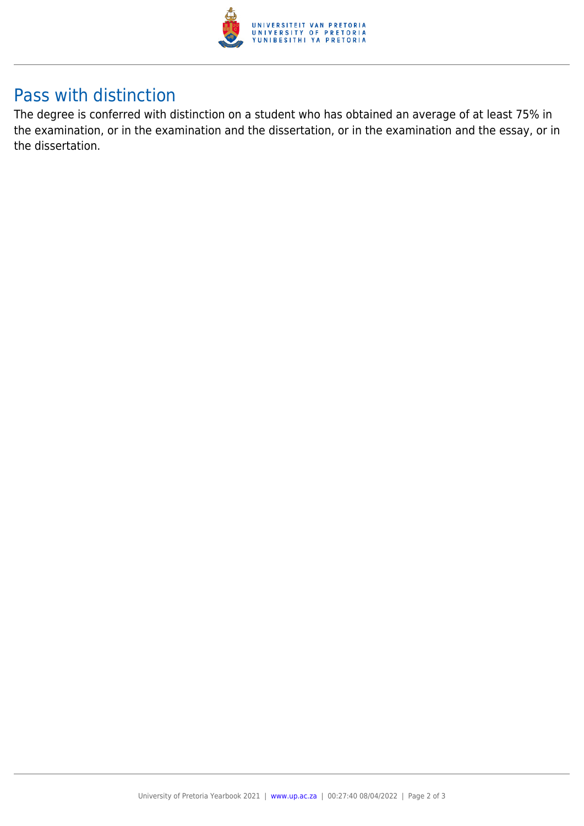

### Pass with distinction

The degree is conferred with distinction on a student who has obtained an average of at least 75% in the examination, or in the examination and the dissertation, or in the examination and the essay, or in the dissertation.